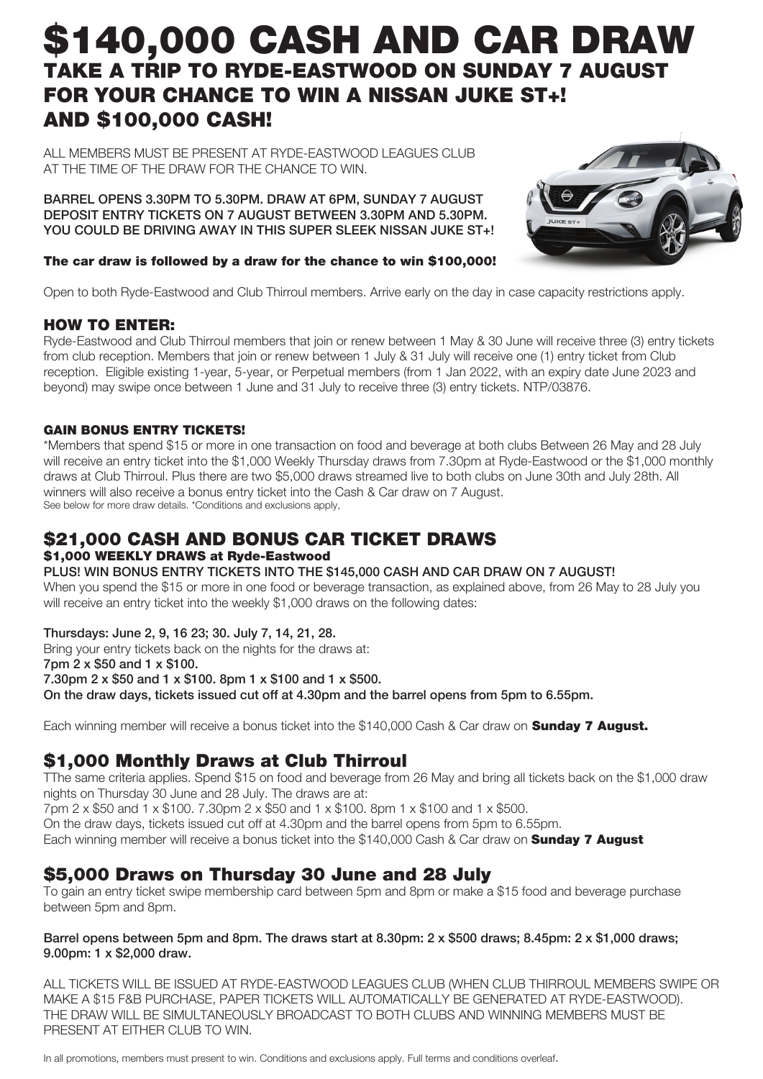# \$140,000 CASH AND CAR DRAW TAKE A TRIP TO RYDE-EASTWOOD ON SUNDAY 7 AUGUST FOR YOUR CHANCE TO WIN A NISSAN JUKE ST+! AND \$100,000 CASH!

ALL MEMBERS MUST BE PRESENT AT RYDE-FASTWOOD LEAGUES CLUB AT THE TIME OF THE DRAW FOR THE CHANCE TO WIN.

BARREL OPENS 3.30PM TO 5.30PM. DRAW AT 6PM, SUNDAY 7 AUGUST DEPOSIT ENTRY TICKETS ON 7 AUGUST BETWEEN 3.30PM AND 5.30PM. YOU COULD BE DRIVING AWAY IN THIS SUPER SLEEK NISSAN JUKE ST+!



### The car draw is followed by a draw for the chance to win \$100,000!

Open to both Ryde-Eastwood and Club Thirroul members. Arrive early on the day in case capacity restrictions apply.

# HOW TO ENTER:

Ryde-Eastwood and Club Thirroul members that join or renew between 1 May & 30 June will receive three (3) entry tickets from club reception. Members that join or renew between 1 July & 31 July will receive one (1) entry ticket from Club reception. Eligible existing 1-year, 5-year, or Perpetual members (from 1 Jan 2022, with an expiry date June 2023 and beyond) may swipe once between 1 June and 31 July to receive three (3) entry tickets. NTP/03876.

# GAIN BONUS ENTRY TICKETS!

\*Members that spend \$15 or more in one transaction on food and beverage at both clubs Between 26 May and 28 July will receive an entry ticket into the \$1,000 Weekly Thursday draws from 7.30pm at Ryde-Eastwood or the \$1,000 monthly draws at Club Thirroul. Plus there are two \$5,000 draws streamed live to both clubs on June 30th and July 28th. All winners will also receive a bonus entry ticket into the Cash & Car draw on 7 August. See below for more draw details. \*Conditions and exclusions apply,

# \$21,000 CASH AND BONUS CAR TICKET DRAWS \$1,000 WEEKLY DRAWS at Ryde-Eastwood

## PLUS! WIN BONUS ENTRY TICKETS INTO THE \$145,000 CASH AND CAR DRAW ON 7 AUGUST!

When you spend the \$15 or more in one food or beverage transaction, as explained above, from 26 May to 28 July you will receive an entry ticket into the weekly \$1,000 draws on the following dates:

## Thursdays: June 2, 9, 16 23; 30. July 7, 14, 21, 28.

Bring your entry tickets back on the nights for the draws at: 7pm 2 x \$50 and 1 x \$100. 7.30pm 2 x \$50 and 1 x \$100. 8pm 1 x \$100 and 1 x \$500. On the draw days, tickets issued cut off at 4.30pm and the barrel opens from 5pm to 6.55pm.

Each winning member will receive a bonus ticket into the \$140,000 Cash & Car draw on **Sunday 7 August.** 

# \$1,000 Monthly Draws at Club Thirroul

TThe same criteria applies. Spend \$15 on food and beverage from 26 May and bring all tickets back on the \$1,000 draw nights on Thursday 30 June and 28 July. The draws are at:

7pm 2 x \$50 and 1 x \$100. 7.30pm 2 x \$50 and 1 x \$100. 8pm 1 x \$100 and 1 x \$500. On the draw days, tickets issued cut off at 4.30pm and the barrel opens from 5pm to 6.55pm. Each winning member will receive a bonus ticket into the \$140,000 Cash & Car draw on **Sunday 7 August** 

# \$5,000 Draws on Thursday 30 June and 28 July

To gain an entry ticket swipe membership card between 5pm and 8pm or make a \$15 food and beverage purchase between 5pm and 8pm.

### Barrel opens between 5pm and 8pm. The draws start at 8.30pm: 2 x \$500 draws; 8.45pm: 2 x \$1,000 draws; 9.00pm: 1 x \$2,000 draw.

ALL TICKETS WILL BE ISSUED AT RYDE-EASTWOOD LEAGUES CLUB (WHEN CLUB THIRROUL MEMBERS SWIPE OR MAKE A \$15 F&B PURCHASE, PAPER TICKETS WILL AUTOMATICALLY BE GENERATED AT RYDE-EASTWOOD). THE DRAW WILL BE SIMULTANEOUSLY BROADCAST TO BOTH CLUBS AND WINNING MEMBERS MUST BE PRESENT AT EITHER CLUB TO WIN.

In all promotions, members must present to win. Conditions and exclusions apply. Full terms and conditions overleaf.